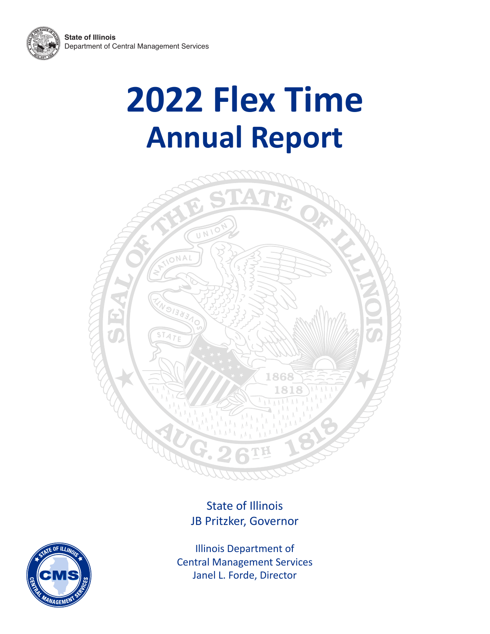



## State of Illinois JB Pritzker, Governor



Illinois Department of Central Management Services Janel L. Forde, Director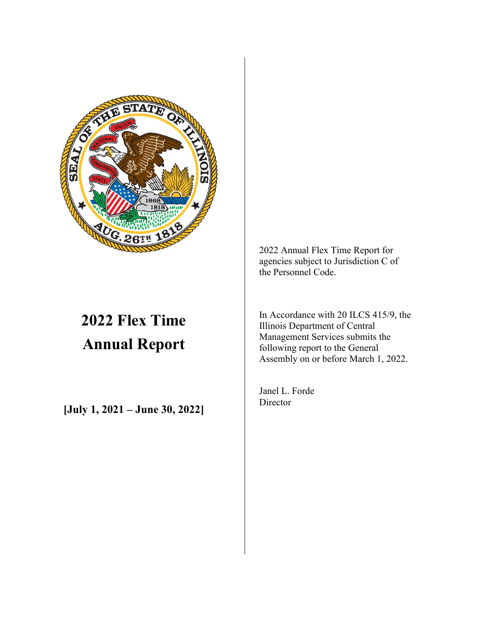

## **2022 Flex Time Annual Report**

**[July 1, 2021 – June 30, 2022]**

2022 Annual Flex Time Report for agencies subject to Jurisdiction C of the Personnel Code.

In Accordance with 20 ILCS 415/9, the Illinois Department of Central Management Services submits the following report to the General Assembly on or before March 1, 2022.

Janel L. Forde **Director**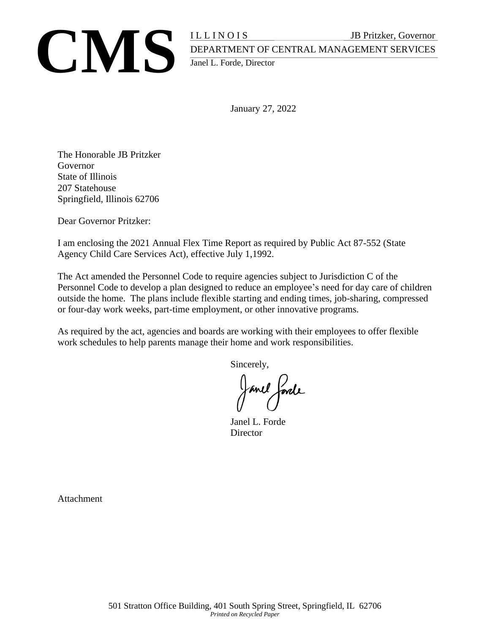

## **CMS** ILLINOIS JB Pritzker, Governor<br>DEPARTMENT OF CENTRAL MANAGEMENT SERVICES<br>Janel L. Forde, Director DEPARTMENT OF CENTRAL MANAGEMENT SERVICES Janel L. Forde, Director

January 27, 2022

The Honorable JB Pritzker Governor State of Illinois 207 Statehouse Springfield, Illinois 62706

Dear Governor Pritzker:

I am enclosing the 2021 Annual Flex Time Report as required by Public Act 87-552 (State Agency Child Care Services Act), effective July 1,1992.

The Act amended the Personnel Code to require agencies subject to Jurisdiction C of the Personnel Code to develop a plan designed to reduce an employee's need for day care of children outside the home. The plans include flexible starting and ending times, job-sharing, compressed or four-day work weeks, part-time employment, or other innovative programs.

As required by the act, agencies and boards are working with their employees to offer flexible work schedules to help parents manage their home and work responsibilities.

Sincerely,

Janel forde

Janel L. Forde **Director** 

**Attachment**